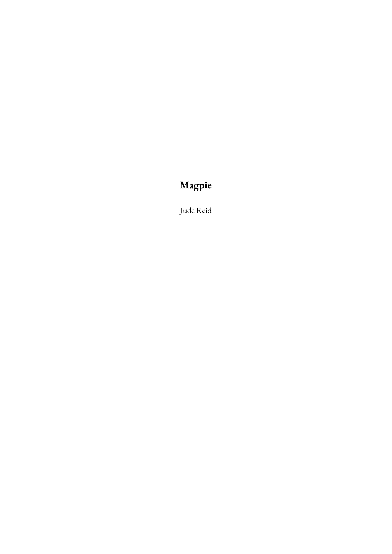# **Magpie**

Jude Reid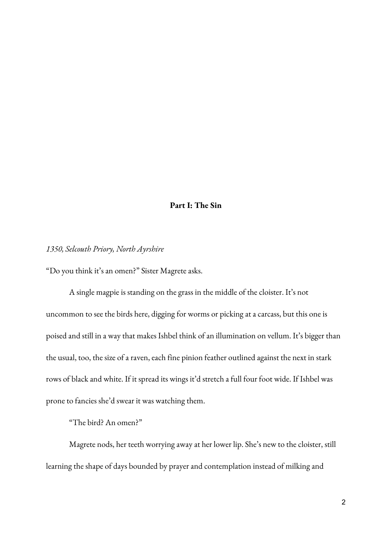# **Part I: The Sin**

# *1350, Selcouth Priory, North Ayrshire*

"Do you think it's an omen?" Sister Magrete asks.

A single magpie is standing on the grass in the middle of the cloister. It's not uncommon to see the birds here, digging for worms or picking at a carcass, but this one is poised and still in a way that makes Ishbel think of an illumination on vellum. It's bigger than the usual, too, the size of a raven, each fine pinion feather outlined against the next in stark rows of black and white. If it spread its wings it'd stretch a full four foot wide. If Ishbel was prone to fancies she'd swear it was watching them.

"The bird? An omen?"

Magrete nods, her teeth worrying away at her lower lip. She's new to the cloister, still learning the shape of days bounded by prayer and contemplation instead of milking and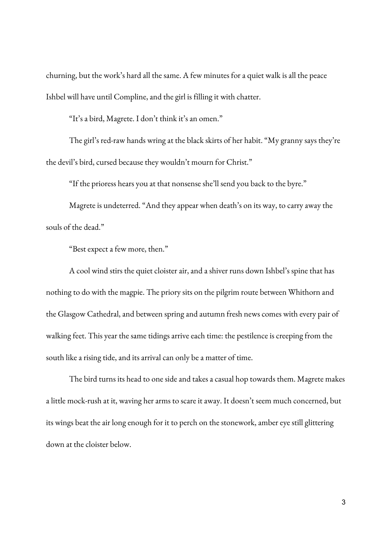churning, but the work's hard all the same. A few minutes for a quiet walk is all the peace Ishbel will have until Compline, and the girl is filling it with chatter.

"It's a bird, Magrete. I don't think it's an omen."

The girl's red-raw hands wring at the black skirts of her habit. "My granny says they're the devil's bird, cursed because they wouldn't mourn for Christ."

"If the prioress hears you at that nonsense she'll send you back to the byre."

Magrete is undeterred. "And they appear when death's on its way, to carry away the souls of the dead."

"Best expect a few more, then."

A cool wind stirs the quiet cloister air, and a shiver runs down Ishbel's spine that has nothing to do with the magpie. The priory sits on the pilgrim route between Whithorn and the Glasgow Cathedral, and between spring and autumn fresh news comes with every pair of walking feet. This year the same tidings arrive each time: the pestilence is creeping from the south like a rising tide, and its arrival can only be a matter of time.

The bird turns its head to one side and takes a casual hop towards them. Magrete makes a little mock-rush at it, waving her arms to scare it away. It doesn't seem much concerned, but its wings beat the air long enough for it to perch on the stonework, amber eye still glittering down at the cloister below.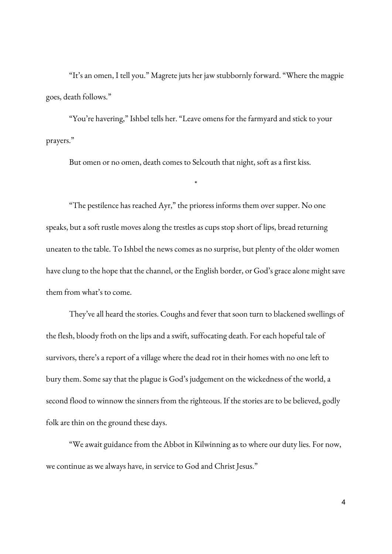"It's an omen, I tell you." Magrete juts her jaw stubbornly forward. "Where the magpie goes, death follows."

"You're havering," Ishbel tells her. "Leave omens for the farmyard and stick to your prayers."

But omen or no omen, death comes to Selcouth that night, soft as a first kiss.

\*

"The pestilence has reached Ayr," the prioress informs them over supper. No one speaks, but a soft rustle moves along the trestles as cups stop short of lips, bread returning uneaten to the table. To Ishbel the news comes as no surprise, but plenty of the older women have clung to the hope that the channel, or the English border, or God's grace alone might save them from what's to come.

They've all heard the stories. Coughs and fever that soon turn to blackened swellings of the flesh, bloody froth on the lips and a swift, suffocating death. For each hopeful tale of survivors, there's a report of a village where the dead rot in their homes with no one left to bury them. Some say that the plague is God's judgement on the wickedness of the world, a second flood to winnow the sinners from the righteous. If the stories are to be believed, godly folk are thin on the ground these days. "We await guidance from the Abbot in Kilwinning as to where our duty lies. For now,

we continue as we always have, in service to God and Christ Jesus."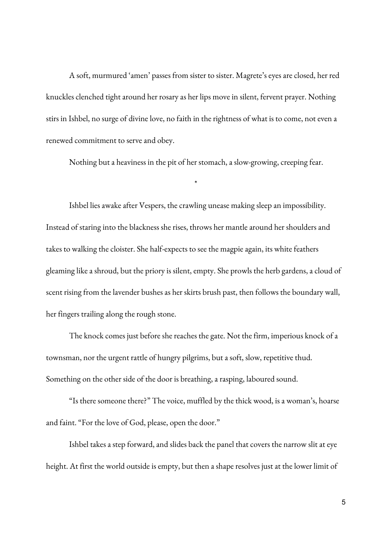A soft, murmured 'amen' passes from sister to sister. Magrete's eyes are closed, her red knuckles clenched tight around her rosary as her lips move in silent, fervent prayer. Nothing stirs in Ishbel, no surge of divine love, no faith in the rightness of what is to come, not even a renewed commitment to serve and obey.

Nothing but a heaviness in the pit of her stomach, a slow-growing, creeping fear.

\*

Ishbel lies awake after Vespers, the crawling unease making sleep an impossibility. Instead of staring into the blackness she rises, throws her mantle around her shoulders and takes to walking the cloister. She half-expects to see the magpie again, its white feathers gleaming like a shroud, but the priory is silent, empty. She prowls the herb gardens, a cloud of scent rising from the lavender bushes as her skirts brush past, then follows the boundary wall, her fingers trailing along the rough stone.

The knock comes just before she reaches the gate. Not the firm, imperious knock of a townsman, nor the urgent rattle of hungry pilgrims, but a soft, slow, repetitive thud. Something on the other side of the door is breathing, a rasping, laboured sound.

"Is there someone there?" The voice, muffled by the thick wood, is a woman's, hoarse and faint. "For the love of God, please, open the door."

Ishbel takes a step forward, and slides back the panel that covers the narrow slit at eye height. At first the world outside is empty, but then a shape resolves just at the lower limit of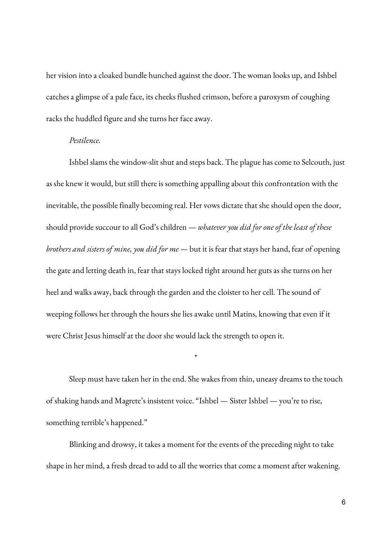her vision into a cloaked bundle hunched against the door. The woman looks up, and Ishbel catches a glimpse of a pale face, its cheeks flushed crimson, before a paroxysm of coughing racks the huddled figure and she turns her face away.

#### *Pestilence.*

Ishbel slams the window-slit shut and steps back. The plague has come to Selcouth, just as she knew it would, but still there is something appalling about this confrontation with the inevitable, the possible finally becoming real. Her vows dictate that she should open the door, should provide succour to all God's children — *whatever you did for one of the least of these brothers and sisters of mine, you did for me —* but it is fear that stays her hand, fear of opening the gate and letting death in, fear that stays locked tight around her guts as she turns on her heel and walks away, back through the garden and the cloister to her cell. The sound of weeping follows her through the hours she lies awake until Matins, knowing that even if it were Christ Jesus himself at the door she would lack the strength to open it.

Sleep must have taken her in the end. She wakes from thin, uneasy dreams to the touch of shaking hands and Magrete's insistent voice. "Ishbel — Sister Ishbel — you're to rise, something terrible's happened."

\*

Blinking and drowsy, it takes a moment for the events of the preceding night to take shape in her mind, a fresh dread to add to all the worries that come a moment after wakening.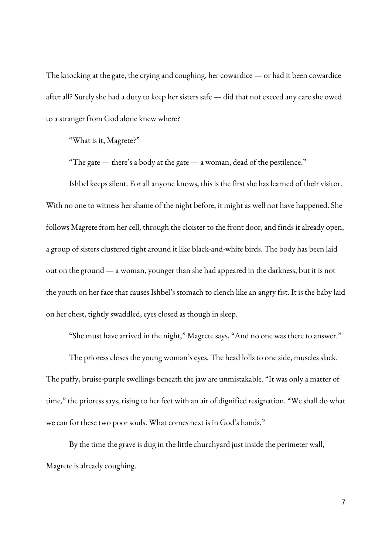The knocking at the gate, the crying and coughing, her cowardice — or had it been cowardice after all? Surely she had a duty to keep her sisters safe — did that not exceed any care she owed to a stranger from God alone knew where?

"What is it, Magrete?"

"The gate — there's a body at the gate — a woman, dead of the pestilence."

Ishbel keeps silent. For all anyone knows, this is the first she has learned of their visitor. With no one to witness her shame of the night before, it might as well not have happened. She follows Magrete from her cell, through the cloister to the front door, and finds it already open, a group of sisters clustered tight around it like black-and-white birds. The body has been laid out on the ground — a woman, younger than she had appeared in the darkness, but it is not the youth on her face that causes Ishbel's stomach to clench like an angry fist. It is the baby laid on her chest, tightly swaddled, eyes closed as though in sleep.

"She must have arrived in the night," Magrete says, "And no one was there to answer."

The prioress closes the young woman's eyes. The head lolls to one side, muscles slack. The puffy, bruise-purple swellings beneath the jaw are unmistakable. "It was only a matter of time," the prioress says, rising to her feet with an air of dignified resignation. "We shall do what we can for these two poor souls. What comes next is in God's hands."

By the time the grave is dug in the little churchyard just inside the perimeter wall, Magrete is already coughing.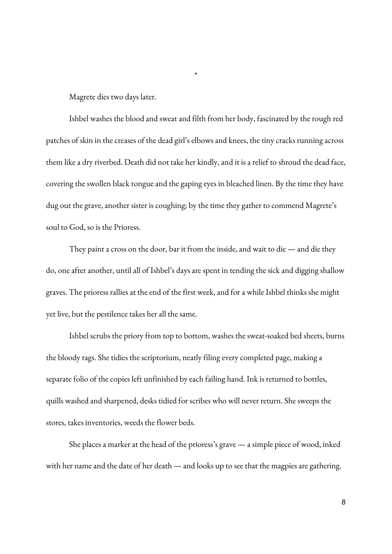Magrete dies two days later.

Ishbel washes the blood and sweat and filth from her body, fascinated by the rough red patches of skin in the creases of the dead girl's elbows and knees, the tiny cracks running across them like a dry riverbed. Death did not take her kindly, and it is a relief to shroud the dead face, covering the swollen black tongue and the gaping eyes in bleached linen. By the time they have dug out the grave, another sister is coughing; by the time they gather to commend Magrete's soul to God, so is the Prioress.

\*

They paint a cross on the door, bar it from the inside, and wait to die — and die they do, one after another, until all of Ishbel's days are spent in tending the sick and digging shallow graves. The prioress rallies at the end of the first week, and for a while Ishbel thinks she might yet live, but the pestilence takes her all the same.

Ishbel scrubs the priory from top to bottom, washes the sweat-soaked bed sheets, burns the bloody rags. She tidies the scriptorium, neatly filing every completed page, making a separate folio of the copies left unfinished by each failing hand. Ink is returned to bottles, quills washed and sharpened, desks tidied for scribes who will never return. She sweeps the stores, takes inventories, weeds the flower beds.

She places a marker at the head of the prioress's grave — a simple piece of wood, inked with her name and the date of her death — and looks up to see that the magpies are gathering.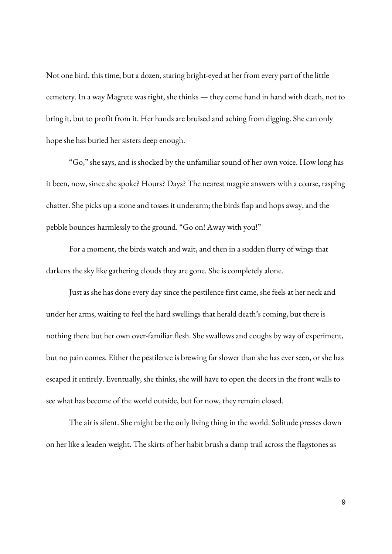Not one bird, this time, but a dozen, staring bright-eyed at her from every part of the little cemetery. In a way Magrete was right, she thinks — they come hand in hand with death, not to bring it, but to profit from it. Her hands are bruised and aching from digging. She can only hope she has buried her sisters deep enough.

"Go," she says, and is shocked by the unfamiliar sound of her own voice. How long has it been, now, since she spoke? Hours? Days? The nearest magpie answers with a coarse, rasping chatter. She picks up a stone and tosses it underarm; the birds flap and hops away, and the pebble bounces harmlessly to the ground. "Go on! Away with you!"

For a moment, the birds watch and wait, and then in a sudden flurry of wings that darkens the sky like gathering clouds they are gone. She is completely alone.<br>Just as she has done every day since the pestilence first came, she feels at her neck and

under her arms, waiting to feel the hard swellings that herald death's coming, but there is nothing there but her own over-familiar flesh. She swallows and coughs by way of experiment, but no pain comes. Either the pestilence is brewing far slower than she has ever seen, or she has escaped it entirely. Eventually, she thinks, she will have to open the doors in the front walls to see what has become of the world outside, but for now, they remain closed.

The air is silent. She might be the only living thing in the world. Solitude presses down on her like a leaden weight. The skirts of her habit brush a damp trail across the flagstones as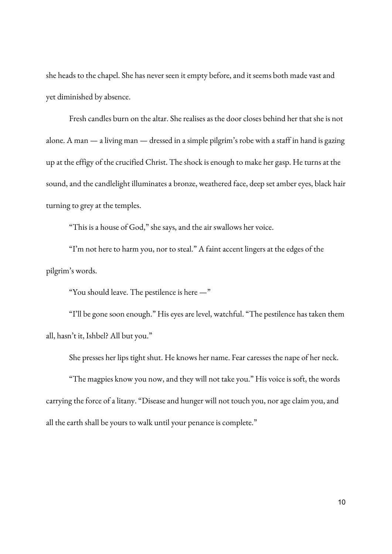she heads to the chapel. She has never seen it empty before, and it seems both made vast and yet diminished by absence.

Fresh candles burn on the altar. She realises as the door closes behind her that she is not alone. A man — a living man — dressed in a simple pilgrim's robe with a staff in hand is gazing up at the effigy of the crucified Christ. The shock is enough to make her gasp. He turns at the sound, and the candlelight illuminates a bronze, weathered face, deep set amber eyes, black hair turning to grey at the temples.

"This is a house of God," she says, and the air swallows her voice.

"I'm not here to harm you, nor to steal." A faint accent lingers at the edges of the pilgrim's words.

"You should leave. The pestilence is here —"

"I'll be gone soon enough." His eyes are level, watchful. "The pestilence has taken them all, hasn't it, Ishbel? All but you."

She presses her lips tight shut. He knows her name. Fear caresses the nape of her neck.

"The magpies know you now, and they will not take you." His voice is soft, the words carrying the force of a litany. "Disease and hunger will not touch you, nor age claim you, and all the earth shall be yours to walk until your penance is complete."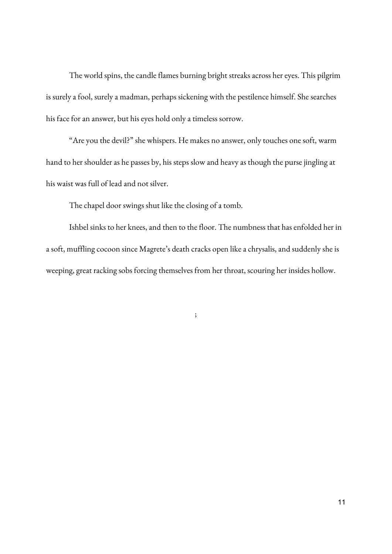The world spins, the candle flames burning bright streaks across her eyes. This pilgrim is surely a fool, surely a madman, perhaps sickening with the pestilence himself. She searches his face for an answer, but his eyes hold only a timeless sorrow.

"Are you the devil?" she whispers. He makes no answer, only touches one soft, warm hand to her shoulder as he passes by, his steps slow and heavy as though the purse jingling at his waist was full of lead and not silver.

The chapel door swings shut like the closing of a tomb.

Ishbel sinks to her knees, and then to the floor. The numbness that has enfolded her in a soft, muffling cocoon since Magrete's death cracks open like a chrysalis, and suddenly she is weeping, great racking sobs forcing themselves from her throat, scouring her insides hollow.

;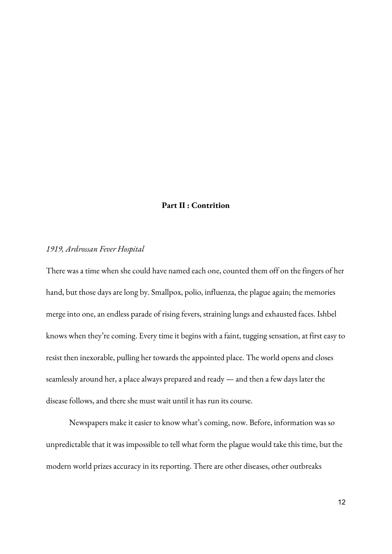### **Part II : Contrition**

#### *1919, Ardrossan Fever Hospital*

There was a time when she could have named each one, counted them off on the fingers of her hand, but those days are long by. Smallpox, polio, influenza, the plague again; the memories merge into one, an endless parade of rising fevers, straining lungs and exhausted faces. Ishbel knows when they're coming. Every time it begins with a faint, tugging sensation, at first easy to resist then inexorable, pulling her towards the appointed place. The world opens and closes seamlessly around her, a place always prepared and ready — and then a few days later the disease follows, and there she must wait until it has run its course.

Newspapers make it easier to know what's coming, now. Before, information was so unpredictable that it was impossible to tell what form the plague would take this time, but the modern world prizes accuracy in its reporting. There are other diseases, other outbreaks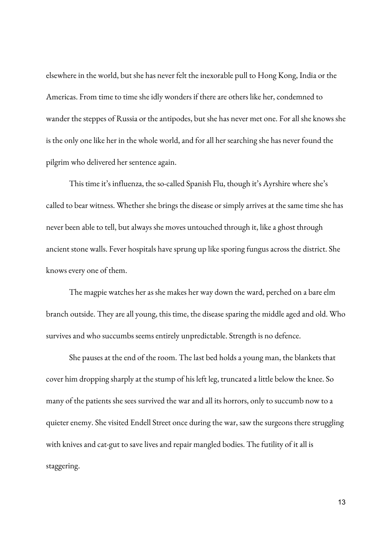pilgrim who delivered her sentence again. elsewhere in the world, but she has never felt the inexorable pull to Hong Kong, India or the Americas. From time to time she idly wonders if there are others like her, condemned to wander the steppes of Russia or the antipodes, but she has never met one. For all she knows she is the only one like her in the whole world, and for all her searching she has never found the

This time it's influenza, the so-called Spanish Flu, though it's Ayrshire where she's called to bear witness. Whether she brings the disease or simply arrives at the same time she has never been able to tell, but always she moves untouched through it, like a ghost through ancient stone walls. Fever hospitals have sprung up like sporing fungus across the district. She knows every one of them.

The magpie watches her as she makes her way down the ward, perched on a bare elm branch outside. They are all young, this time, the disease sparing the middle aged and old. Who survives and who succumbs seems entirely unpredictable. Strength is no defence.

She pauses at the end of the room. The last bed holds a young man, the blankets that cover him dropping sharply at the stump of his left leg, truncated a little below the knee. So many of the patients she sees survived the war and all its horrors, only to succumb now to a quieter enemy. She visited Endell Street once during the war, saw the surgeons there struggling with knives and cat-gut to save lives and repair mangled bodies. The futility of it all is staggering.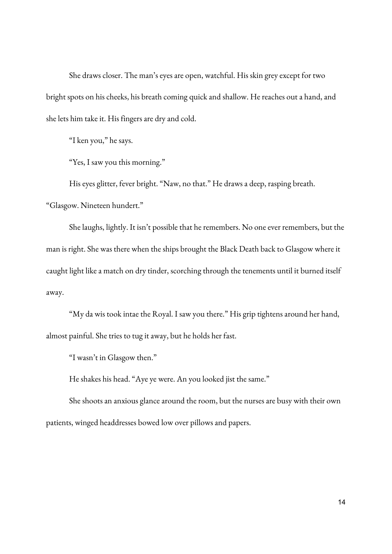She draws closer. The man's eyes are open, watchful. His skin grey except for two bright spots on his cheeks, his breath coming quick and shallow. He reaches out a hand, and she lets him take it. His fingers are dry and cold.

"I ken you," he says.

"Yes, I saw you this morning."

His eyes glitter, fever bright. "Naw, no that." He draws a deep, rasping breath.

"Glasgow. Nineteen hundert."

She laughs, lightly. It isn't possible that he remembers. No one ever remembers, but the man is right. She was there when the ships brought the Black Death back to Glasgow where it caught light like a match on dry tinder, scorching through the tenements until it burned itself away.

"My da wis took intae the Royal. I saw you there." His grip tightens around her hand, almost painful. She tries to tug it away, but he holds her fast.

"I wasn't in Glasgow then." He shakes his head. "Aye ye were. An you looked jist the same."

She shoots an anxious glance around the room, but the nurses are busy with their own patients, winged headdresses bowed low over pillows and papers.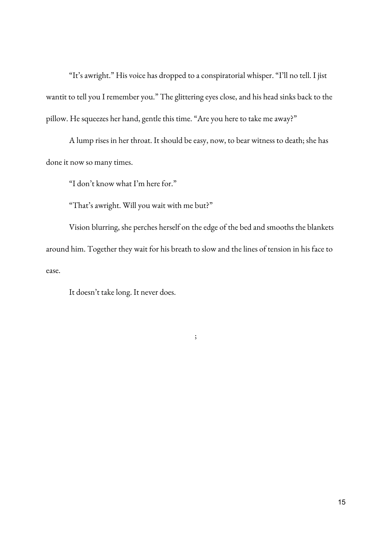"It's awright." His voice has dropped to a conspiratorial whisper. "I'll no tell. I jist wantit to tell you I remember you." The glittering eyes close, and his head sinks back to the pillow. He squeezes her hand, gentle this time. "Are you here to take me away?"

A lump rises in her throat. It should be easy, now, to bear witness to death; she has done it now so many times.

"I don't know what I'm here for."

"That's awright. Will you wait with me but?"

Vision blurring, she perches herself on the edge of the bed and smooths the blankets around him. Together they wait for his breath to slow and the lines of tension in his face to ease.

It doesn't take long. It never does.

;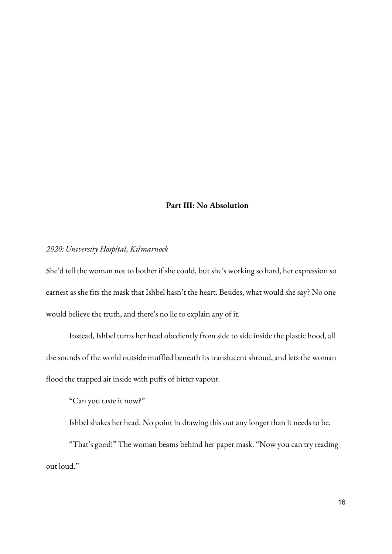# **Part III: No Absolution**

#### *2020: University Hospital, Kilmarnock*

She'd tell the woman not to bother if she could, but she's working so hard, her expression so earnest as she fits the mask that Ishbel hasn't the heart. Besides, what would she say? No one would believe the truth, and there's no lie to explain any of it.

Instead, Ishbel turns her head obediently from side to side inside the plastic hood, all the sounds of the world outside muffled beneath its translucent shroud, and lets the woman flood the trapped air inside with puffs of bitter vapour.

"Can you taste it now?"

Ishbel shakes her head. No point in drawing this out any longer than it needs to be.

"That's good!" The woman beams behind her paper mask. "Now you can try reading out loud."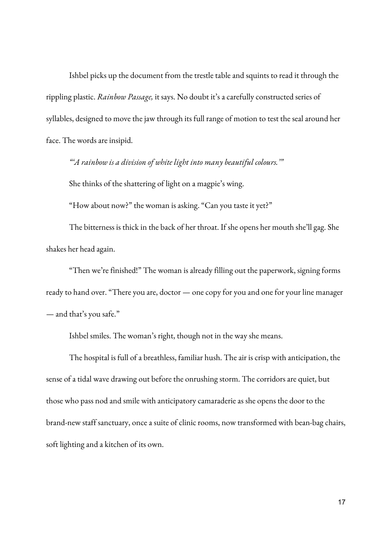Ishbel picks up the document from the trestle table and squints to read it through the rippling plastic. *Rainbow Passage,* it says. No doubt it's a carefully constructed series of syllables, designed to move the jaw through its full range of motion to test the seal around her face. The words are insipid.

*"'A rainbow is a division of white light into many beautiful colours.'"* 

She thinks of the shattering of light on a magpie's wing.

"How about now?" the woman is asking. "Can you taste it yet?"

The bitterness is thick in the back of her throat. If she opens her mouth she'll gag. She shakes her head again.

"Then we're finished!" The woman is already filling out the paperwork, signing forms ready to hand over. "There you are, doctor — one copy for you and one for your line manager — and that's you safe."

Ishbel smiles. The woman's right, though not in the way she means.

The hospital is full of a breathless, familiar hush. The air is crisp with anticipation, the sense of a tidal wave drawing out before the onrushing storm. The corridors are quiet, but those who pass nod and smile with anticipatory camaraderie as she opens the door to the brand-new staff sanctuary, once a suite of clinic rooms, now transformed with bean-bag chairs, soft lighting and a kitchen of its own.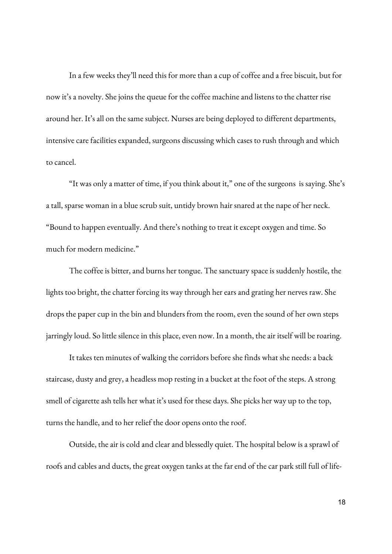In a few weeks they'll need this for more than a cup of coffee and a free biscuit, but for now it's a novelty. She joins the queue for the coffee machine and listens to the chatter rise around her. It's all on the same subject. Nurses are being deployed to different departments, intensive care facilities expanded, surgeons discussing which cases to rush through and which to cancel.

"It was only a matter of time, if you think about it," one of the surgeons is saying. She's a tall, sparse woman in a blue scrub suit, untidy brown hair snared at the nape of her neck. "Bound to happen eventually. And there's nothing to treat it except oxygen and time. So much for modern medicine."

The coffee is bitter, and burns her tongue. The sanctuary space is suddenly hostile, the lights too bright, the chatter forcing its way through her ears and grating her nerves raw. She drops the paper cup in the bin and blunders from the room, even the sound of her own steps jarringly loud. So little silence in this place, even now. In a month, the air itself will be roaring.

It takes ten minutes of walking the corridors before she finds what she needs: a back staircase, dusty and grey, a headless mop resting in a bucket at the foot of the steps. A strong smell of cigarette ash tells her what it's used for these days. She picks her way up to the top, turns the handle, and to her relief the door opens onto the roof.

Outside, the air is cold and clear and blessedly quiet. The hospital below is a sprawl of roofs and cables and ducts, the great oxygen tanks at the far end of the car park still full of life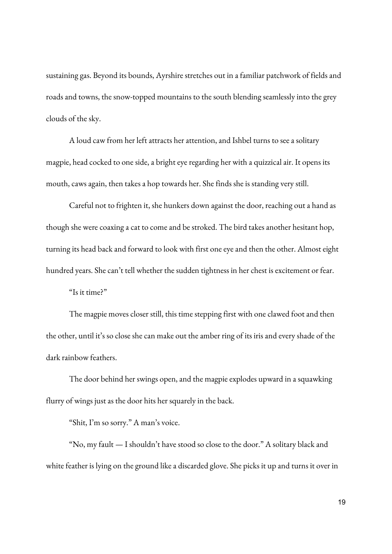sustaining gas. Beyond its bounds, Ayrshire stretches out in a familiar patchwork of fields and roads and towns, the snow-topped mountains to the south blending seamlessly into the grey clouds of the sky.

mouth, caws again, then takes a hop towards her. She finds she is standing very still. A loud caw from her left attracts her attention, and Ishbel turns to see a solitary magpie, head cocked to one side, a bright eye regarding her with a quizzical air. It opens its

Careful not to frighten it, she hunkers down against the door, reaching out a hand as though she were coaxing a cat to come and be stroked. The bird takes another hesitant hop, turning its head back and forward to look with first one eye and then the other. Almost eight hundred years. She can't tell whether the sudden tightness in her chest is excitement or fear.

"Is it time?"

The magpie moves closer still, this time stepping first with one clawed foot and then the other, until it's so close she can make out the amber ring of its iris and every shade of the dark rainbow feathers.

The door behind her swings open, and the magpie explodes upward in a squawking flurry of wings just as the door hits her squarely in the back.

"Shit, I'm so sorry." A man's voice.<br>"No, my fault — I shouldn't have stood so close to the door." A solitary black and white feather is lying on the ground like a discarded glove. She picks it up and turns it over in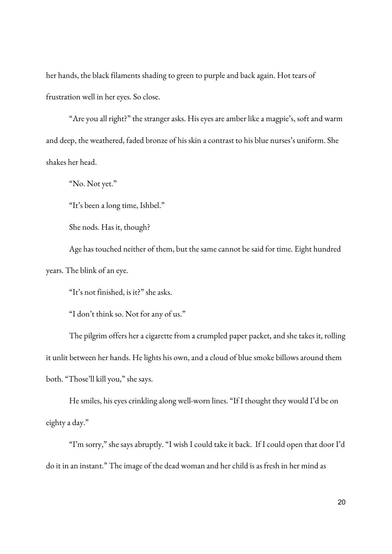her hands, the black filaments shading to green to purple and back again. Hot tears of frustration well in her eyes. So close.

"Are you all right?" the stranger asks. His eyes are amber like a magpie's, soft and warm and deep, the weathered, faded bronze of his skin a contrast to his blue nurses's uniform. She shakes her head.

"No. Not yet."

"It's been a long time, Ishbel."

She nods. Has it, though?

Age has touched neither of them, but the same cannot be said for time. Eight hundred years. The blink of an eye.

"It's not finished, is it?" she asks.

"I don't think so. Not for any of us."

The pilgrim offers her a cigarette from a crumpled paper packet, and she takes it, rolling it unlit between her hands. He lights his own, and a cloud of blue smoke billows around them both. "Those'll kill you," she says.

He smiles, his eyes crinkling along well-worn lines. "If I thought they would I'd be on eighty a day."

"I'm sorry," she says abruptly. "I wish I could take it back. If I could open that door I'd do it in an instant." The image of the dead woman and her child is as fresh in her mind as